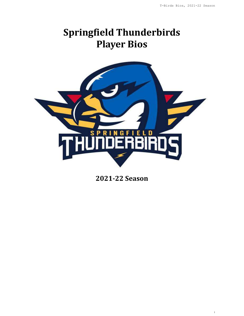1

# **Springfield Thunderbirds Player Bios**



**2021-22 Season**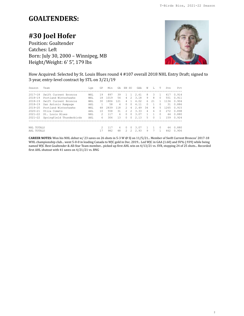### **GOALTENDERS:**

## **#30 Joel Hofer**

Position: Goaltender Catches: Left Born: July 30, 2000 – Winnipeg, MB Height/Weight: 6' 5", 179 lbs



How Acquired: Selected by St. Louis Blues round 4 #107 overall 2018 NHL Entry Draft; signed to 3-year, entry-level contract by STL on 3/21/19

| Season      | Team                     | Lge | GP | Min  | GA  | ΕN            | -SO            | GAA  | W      | L         | т         | Svs  | Pct   |
|-------------|--------------------------|-----|----|------|-----|---------------|----------------|------|--------|-----------|-----------|------|-------|
| $2017 - 18$ | Swift Current Broncos    | WHL | 19 | 897  | 39  |               | $\overline{1}$ | 2.61 | 8      | 3         |           | 417  | 0.914 |
| $2018 - 19$ | Portland Winterhawks     | WHL | 18 | 1019 | 54  | 4             | $\mathcal{L}$  | 3.18 | 9      | 8         | $\Omega$  | 551  | 0.911 |
| $2018 - 19$ | Swift Current Broncos    | WHL | 30 | 1806 | 121 | 4             |                | 4.02 | 6      | 21        |           | 1136 | 0.904 |
| 2018-19     | San Antonio Rampage      | AHL |    | 58   | 4   | $\Omega$      | $\Omega$       | 4.11 | $\cap$ |           |           | 31   | 0.886 |
| $2019 - 20$ | Portland Winterhawks     | WHL | 48 | 2839 | 118 | $\mathcal{P}$ | 4              | 2.49 | 34     | 8         | 5         | 1265 | 0.915 |
| $2020 - 21$ | Utica Comets             | AHL | 10 | 558  | 31  | 2             | $\mathcal{P}$  | 3.33 | 4      | 6         | $\Omega$  | 2.72 | 0.898 |
| $2021 - 22$ | St. Louis Blues          | NHL | 2  | 117  | 6   | $\Omega$      | $\Omega$       | 3.07 |        |           | $\bigcap$ | 44   | 0.880 |
| $2021 - 22$ | Springfield Thunderbirds | AHL | 6  | 306  | 13  | $\cap$        | $\Omega$       | 2.13 | 5      | $\bigcap$ |           | 159  | 0.924 |
|             |                          |     |    |      |     |               |                |      |        |           |           |      |       |
| NHL TOTALS  |                          |     | 2  | 117  | 6   | <sup>n</sup>  | $\bigcap$      | 3.07 |        |           | $\bigcap$ | 44   | 0.880 |
| AHL TOTALS  |                          |     |    | 982  | 48  |               | $\mathcal{L}$  | 2.93 | 9      |           |           | 462  | 0.906 |

**CAREER NOTES:** Won his NHL debut w/ 23 saves on 26 shots in 5-3 W @ SJ on 11/5/21... Member of Swift Current Broncos' 2017-18 WHL championship club... went 5-0-0 in leading Canada to WJC gold in Dec. 2019... Led WJC in GAA (1.60) and SV% (.939) while being named WJC Best Goaltender & All-Star Team member... picked up first AHL win on 4/13/21 vs. SYR, stopping 24 of 25 shots... Recorded first AHL shutout with 41 saves on 4/21/21 vs. BNG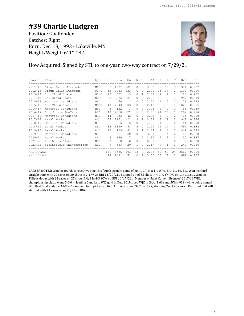### **#39 Charlie Lindgren**

Position: Goaltender Catches: Right Born: Dec. 18, 1993 - Lakeville, MN Height/Weight: 6' 1", 182



### How Acquired: Signed by STL to one-year, two-way contract on 7/29/21

| Season      | Team                     | Lge        | GP             | Min     | GA       | EN SO        |                   | GAA  | W             | $T_{\rm L}$  | T.            | Svs      | Pct   |
|-------------|--------------------------|------------|----------------|---------|----------|--------------|-------------------|------|---------------|--------------|---------------|----------|-------|
| $2011 - 12$ | Sioux Falls Stampede     | USHL       | 33             | 1821    | 101      | $\Omega$     | $\Omega$          | 3.33 | 9             | 19           | $\mathcal{L}$ | 981      | 0.907 |
| $2012 - 13$ | Sioux Falls Stampede     | USHL       | 52             | 2853    | 133      | $\Omega$     | $\mathcal{L}$     | 2.80 | 35            | 14           | $\mathcal{L}$ | 1198     | 0.900 |
| $2013 - 14$ | St. Cloud State          | NCHC       | 10             | 322     | 13       | $\Omega$     | 1                 | 2.42 | $\mathcal{L}$ | 2            | 1             | 124      | 0.905 |
| $2014 - 15$ | St. Cloud State          | NCHC       | 38             | 2226    | 84       | $\Omega$     | 2                 | 2.26 | 19            | 18           | $\mathbf{1}$  | 957      | 0.919 |
| $2015 - 16$ | Montreal Canadiens       | <b>NHL</b> | $\overline{1}$ | 60      | 2        | $\Omega$     | $\Omega$          | 2.00 | $\mathbf{1}$  | $\Omega$     | $\Omega$      | 26       | 0.929 |
| $2015 - 16$ | St. Cloud State          | NCHC       | 40             | 2343    | 83       | $\Omega$     | 5                 | 2.13 | 30            | 9            | $\mathbf{1}$  | 1020     | 0.925 |
| $2016 - 17$ | Montreal Canadiens       | <b>NHL</b> | 2              | 122     | 3        | $\Omega$     | 0                 | 1.48 | 2             | $\Omega$     | $\Omega$      | 56       | 0.949 |
| $2016 - 17$ | St. John's IceCaps       | AHL        | 48             | 2860    | 122      | 6            | 5                 | 2.56 | 24            | 18           | 1             | 1299     | 0.914 |
| $2017 - 18$ | Montreal Canadiens       | <b>NHL</b> | 14             | 833     | 42       | $\Omega$     | $\mathcal{L}$     | 3.03 | 4             | 8            | $\mathcal{L}$ | 415      | 0.908 |
| $2017 - 18$ | Laval Rocket             | AHL        | 37             | 2161    | 122      | 9            | 2.                | 3.39 | 8             | 19           | $\mathcal{P}$ | 948      | 0.886 |
| $2018 - 19$ | Montreal Canadiens       | NHL        | $\overline{1}$ | 65      | 5        | $\Omega$     | $\Omega$          | 4.62 | $\mathbf{1}$  | $\Omega$     | $\Omega$      | 44       | 0.898 |
| $2018 - 19$ | Laval Rocket             | AHL        | 33             | 1859    | 91       | 3            | $\Omega$          | 2.94 | 11            | 20           | 1             | 692      | 0.884 |
| $2019 - 20$ | Laval Rocket             | AHL        | 16             | 923     | 41       | ς            | $\mathbf{1}$      | 2.67 | 7             | 6            | $\mathcal{L}$ | 342      | 0.893 |
| $2019 - 20$ | Montreal Canadiens       | <b>NHL</b> | 6              | 361     | 20       | $\Omega$     | $\Omega$          | 3.33 | $\mathcal{L}$ | 4            | $\Omega$      | 158      | 0.888 |
| $2020 - 21$ | Laval Rocket             | AHL        | 3              | 180     | 7        | $\mathbf{1}$ | $\Omega$          | 2.34 | $\mathcal{L}$ | $\mathbf{1}$ | $\Omega$      | 55       | 0.887 |
| $2021 - 22$ | St. Louis Blues          | <b>NHL</b> | $\Omega$       | $\circ$ | $\Omega$ | $\Omega$     | $\Omega$          | 0.00 | $\Omega$      | $\Omega$     | $\Omega$      | $\Omega$ | 0.000 |
| $2021 - 22$ | Springfield Thunderbirds | AHL        | 9              | 553     | 20       | $\mathbf{1}$ | $\Omega$          | 2.17 | 7             |              | 1             | 249      | 0.926 |
| AHL TOTALS  |                          |            | 146            | 8535    | 403      | 23           | 8                 | 2.83 | 59            | 59           | 24            | 3567     | 0.899 |
| NHL TOTALS  |                          |            | 24             | 1441    | 72       | $\Omega$     | $\mathcal{D}_{1}$ | 3.00 | 10            | 12           | $\mathcal{L}$ | 699      | 0.907 |

**CAREER NOTES:** Won his fourth consecutive start, his fourth straight game of just 1 GA, in a 4-1 W vs. BRI 11/24/21... Won his third straight start with 29 saves on 30 shots in 2-1 W vs. BRI 11/20/21... Stopped 34 of 35 shots in 4-1 W @ PRO on 11/11/21... Won his T-Birds debut with 24 saves on 27 shots & 4/4 in 4-3 SOW vs. BRI 10/17/21.... Member of Swift Current Broncos' 2017-18 WHL championship club... went 5-0-0 in leading Canada to WJC gold in Dec. 2019... Led WJC in GAA (1.60) and SV% (.939) while being named WJC Best Goaltender & All-Star Team member... picked up first AHL win on 4/13/21 vs. SYR, stopping 24 of 25 shots... Recorded first AHL shutout with 41 saves on 4/21/21 vs. BNG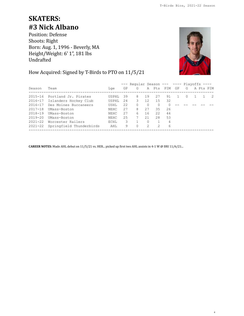# **SKATERS: #3 Nick Albano**

Position: Defense Shoots: Right Born: Aug. 1, 1996 - Beverly, MA Height/Weight: 6' 1", 181 lbs Undrafted



4

### How Acquired: Signed by T-Birds to PTO on 11/5/21

|             |                          |              |    | $---$ Reqular Season --- ---- Playoffs ---- |          |              |    |                  |           |     |
|-------------|--------------------------|--------------|----|---------------------------------------------|----------|--------------|----|------------------|-----------|-----|
| Season      | Team                     | Lae          | GP | G                                           |          | A Pts PIM GP |    | G                | A Pts PIM |     |
| $2015 - 16$ | Portland Jr. Pirates     | <b>USPHL</b> | 39 | 8                                           | 19       | 27           | 91 | $\left( \right)$ |           | -2. |
| 2016-17     | Islanders Hockey Club    | <b>USPHL</b> | 24 | 3                                           | 12       | 15           | 32 |                  |           |     |
| 2016-17     | Des Moines Buccaneers    | USHL         | 22 | $\Omega$                                    | $\Omega$ | $\Omega$     |    |                  |           |     |
| $2017 - 18$ | UMass-Boston             | NEHC         | 27 | 8                                           | 27       | 35           | 26 |                  |           |     |
| $2018 - 19$ | UMass-Boston             | NEHC         | 27 | 6                                           | 16       | 22           | 44 |                  |           |     |
| $2019 - 20$ | UMass-Boston             | NEHC         | 25 |                                             | 21       | 28           | 53 |                  |           |     |
| $2021 - 22$ | Worcester Railers        | ECHL         | 3  |                                             | $\Omega$ |              | 4  |                  |           |     |
| 2021-22     | Springfield Thunderbirds | AHL          | 9  | $\Omega$                                    | 2        | 2            | 6  |                  |           |     |

**CAREER NOTES:** Made AHL debut on 11/5/21 vs. HER... picked up first two AHL assists in 4-1 W @ BRI 11/6/21...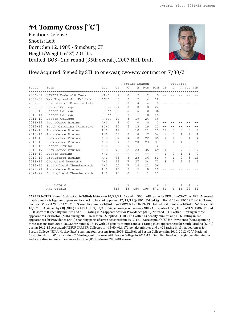### **#4 Tommy Cross ["C"]** Position: Defense Shoots: Left Born: Sep 12, 1989 - Simsbury, CT Height/Weight: 6' 3", 201 lbs Drafted: BOS - 2nd round (35th overall), 2007 NHL Draft



How Acquired: Signed by STL to one-year, two-way contract on 7/30/21

|             |                          |            |                | --- Reqular Season --- ---- Playoffs ---- |                |                |          |                |               |                |                |                |
|-------------|--------------------------|------------|----------------|-------------------------------------------|----------------|----------------|----------|----------------|---------------|----------------|----------------|----------------|
| Season      | Team                     | Lge        | GP             | G                                         |                | A Pts PIM      |          | GP             | G             |                | A Pts PIM      |                |
| $2006 - 07$ | USNTDP Under-18 Team     | NAHL       | $\mathcal{L}$  | 0                                         | $\mathfrak{D}$ | $\mathfrak{D}$ | $\Omega$ |                |               |                |                |                |
| $2007 - 08$ | New England Jr. Falcons  | EJHL       | 5              | $\mathcal{L}$                             | $\mathcal{L}$  | $\overline{4}$ | 18       |                |               |                |                |                |
| $2007 - 08$ | Ohio Junior Blue Jackets | USHL       | 9              | $\Omega$                                  | 4              | $\overline{4}$ | 8        |                |               |                |                |                |
| $2008 - 09$ | Boston College           | $H-Eas$    | 24             | $\Omega$                                  | 8              | 8              | 24       |                |               |                |                |                |
| $2009 - 10$ | Boston College           | $H-Eas$    | 38             | 5                                         | 5              | 10             | 36       |                |               |                |                |                |
| $2010 - 11$ | Boston College           | $H-Eas$    | 28             | 7                                         | 11             | 18             | 45       |                |               |                |                |                |
| $2011 - 12$ | Boston College           | $H-Eas$    | 44             | 5.                                        | 19             | 24             | 66       |                |               |                |                |                |
| $2011 - 12$ | Providence Bruins        | AHL        | $\mathfrak{D}$ | $\Omega$                                  | $\bigcirc$     | $\Omega$       | 2        |                |               |                |                |                |
| $2012 - 13$ | South Carolina Stingrays | ECHL       | 2.4            | 6                                         | 13             | 19             | 23       | $- -$          |               |                |                |                |
| $2012 - 13$ | Providence Bruins        | AHL        | 42             | 1                                         | 10             | 11             | 23       | 12             | $\Omega$      | $\mathcal{L}$  | 3              | 8              |
| $2013 - 14$ | Providence Bruins        | AHL        | 55             | 3                                         | $\overline{4}$ | 7              | 54       | 4              | $\Omega$      | $\mathbf{1}$   | $\mathbf{1}$   | $\overline{4}$ |
| $2014 - 15$ | Providence Bruins        | AHL        | 54             | 4                                         | 18             | 22             | 85       | 4              | $\mathbf{1}$  | $\Omega$       | $\mathbf{1}$   | $\overline{4}$ |
| $2015 - 16$ | Providence Bruins        | AHL        | 64             | 3                                         | 2.0            | 23             | 97       | 3              | 1             | $\mathbf{1}$   | $\mathfrak{D}$ | $\Omega$       |
| $2015 - 16$ | Boston Bruins            | NHL        | 3              | $\Omega$                                  | $\overline{1}$ | $\overline{1}$ | $\Omega$ | $ -$           |               |                | $ -$           |                |
| $2016 - 17$ | Providence Bruins        | AHL        | 74             | 12.                                       | 2.3            | 35             | 69       | 16             | $\mathcal{L}$ | 7              | 9              | 20             |
| $2016 - 17$ | Boston Bruins            | <b>NHL</b> | $- -$          | $- -$                                     | $- -$          | $- -$          | $- -$    | $\mathbf{1}$   | $\Omega$      | $\mathbf{1}$   | $\mathbf{1}$   | $\bigcirc$     |
| $2017 - 18$ | Providence Bruins        | AHL        | 73             | 8                                         | 28             | 36             | 83       | $\overline{4}$ | $\mathbf{1}$  | $\overline{2}$ | 3              | 12             |
| $2018 - 19$ | Cleveland Monsters       | AHL        | 73             | 7                                         | 27             | 34             | 71       | 8              | $\mathbf{1}$  | $\mathcal{P}$  | 3              | -6             |
| $2019 - 20$ | Springfield Thunderbirds | AHL        | 50             | 7                                         | 14             | 2.1            | 56       |                |               |                |                |                |
| $2020 - 21$ | Providence Bruins        | AHL        | 16             | 3                                         | 5              | 8              | 10       |                |               |                |                |                |
| $2021 - 22$ | Springfield Thunderbirds | AHL        | 13             | 0                                         | 1              | $\mathbf{1}$   | 21       |                |               |                |                |                |
|             |                          |            |                |                                           |                |                |          |                |               |                |                |                |
|             | NHL Totals               |            | 3              | 0                                         | 1              | 1              | 0        | $\mathbf{1}$   | $\Omega$      | $\mathbf{1}$   | -1             | $\Omega$       |
|             | AHL Totals               |            | 516            | 48                                        | 150            | 198            | 571      | 51             | 6             | 16             | 22             | 54             |

**CAREER NOTES**: Named 3rd captain in T-Birds history on 10/21/21... Skated in 500th AHL game for PRO on 4/29/21 vs. BRI... Assessed match penalty & 1-game suspension for check to head of opponent 12/15/19 @ PRO... Tallied 2g in first 6:18 vs. PRO 12/14/19... Scored GWG vs. LV in 2-1 W on 11/13/19... Scored first goal as T-Bird in 4-3 SOW @ LV 10/19/19... Tallied first point as a T-Bird in 5-1 W vs. BRI 10/5/19... Assigned by CBJ (NHL) to CLE (AHL) 9/30/18…Signed one-year, two-way NHL/AHL contract 7/1/18…LAST SEASON: Posted 8-28-36 with 83 penalty minutes and a +30 rating in 73 appearances for Providence (AHL). Notched 0-1-1 with a -1 rating in three appearances for Boston (NHL) during 2015-16 season…Supplied 31-103-134 with 413 penalty minutes and a +65 rating in 364 appearances for Providence (AHL) spanning parts of seven seasons from 2012-18…Wore captain's "C" for Providence (AHL) spanning three seasons from 2015-18…Contributed 6-13-19 with 23 penalty minutes and a -1 rating in 24 appearances for South Carolina (ECHL) during 2012-13 season...AMATEUR CAREER: Collected 14-43-60 with 171 penalty minutes and a +24 rating in 134 appearances for Boston College (NCAA-Hockey East) spanning four seasons from 2008-12…Helped Boston College claim 2010, 2012 NCAA National Championships…Wore captain's "C" during senior season with Boston College in 2011-12…Supplied 0-4-4 with eight penalty minutes and a -3 rating in nine appearances for Ohio (USHL) during 2007-08 season.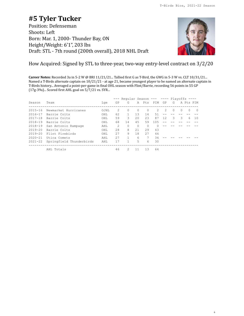# **#5 Tyler Tucker**

Position: Defenseman Shoots: Left Born: Mar. 1, 2000- Thunder Bay, ON Height/Weight: 6'1", 203 lbs Draft: STL - 7th round (200th overall), 2018 NHL Draft



6

How Acquired: Signed by STL to three-year, two-way entry-level contract on 3/2/20

**Career Notes:** Recorded 3a in 5-2 W @ BRI 11/21/21... Tallied first G as T-Bird, the GWG in 5-3 W vs. CLT 10/31/21... Named a T-Birds alternate captain on 10/21/21 - at age 21, became youngest player to be named an alternate captain in T-Birds history... Averaged a point-per-game in final OHL season with Flint/Barrie, recording 56 points in 55 GP (17g-39a)... Scored first AHL goal on 5/7/21 vs. SYR...

|             |                          |       |                | --- Reqular Season --- ---- Playoffs ---- |          |           |              |     |          |        |           |     |
|-------------|--------------------------|-------|----------------|-------------------------------------------|----------|-----------|--------------|-----|----------|--------|-----------|-----|
| Season      | Team                     | Lge   | GP             | G                                         |          | A Pts PIM |              | GP  | G        |        | A Pts PIM |     |
| $2015 - 16$ | Newmarket Hurricanes     | OJHL. | $\mathcal{L}$  | $\Omega$                                  | $\Omega$ | $\Omega$  | 2            | 2   | $\Omega$ | $\cap$ | $\Omega$  | - 0 |
| $2016 - 17$ | Barrie Colts             | OHL   | 62             |                                           | 13       | 14        | 51           |     |          |        |           |     |
| $2017 - 18$ | Barrie Colts             | OHL   | 59             | 3                                         | 2.0      | 2.3       | 87           | 12. | 3        | 3      | 6         | 10  |
| $2018 - 19$ | Barrie Colts             | OHT.  | 68             | 14                                        | 4.5      | 59        | 105          |     |          |        |           |     |
| $2018 - 19$ | San Antonio Rampage      | AHL   | $\mathfrak{D}$ | $\Omega$                                  | $\Omega$ | $\Omega$  | <sup>0</sup> |     |          |        |           |     |
| $2019 - 20$ | Barrie Colts             | OHL   | 2.8            | 8                                         | 21       | 29        | 43           |     |          |        |           |     |
| $2019 - 20$ | Flint Firebirds          | OHT.  | 2.7            | 9                                         | 18       | 27        | 44           |     |          |        |           |     |
| $2020 - 21$ | Utica Comets             | AHT.  | 27             |                                           | 6        | 7         | 34           |     |          |        |           |     |
| $2021 - 22$ | Springfield Thunderbirds | AHL   | 17             |                                           | 5.       | 6         | 30           |     |          |        |           |     |
|             | AHL Totals               |       | 46             | $\mathcal{P}$                             | 11       | 13        | 64           |     |          |        |           |     |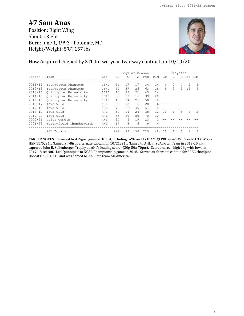### **#7 Sam Anas**

Position: Right Wing Shoots: Right Born: June 1, 1993 - Potomac, MD Height/Weight: 5'8", 157 lbs



How Acquired: Signed by STL to two-year, two-way contract on 10/10/20

|             |                          |      |     | Reqular Season --- ---- Playoffs ---- |     |           |                |    |               |   |           |                |
|-------------|--------------------------|------|-----|---------------------------------------|-----|-----------|----------------|----|---------------|---|-----------|----------------|
| Season      | Team                     | Lge  | GP  | G                                     |     | A Pts PIM |                | GP | G             |   | A Pts PIM |                |
| $2011 - 12$ | Youngstown Phantoms      | USHL | 51  | 17                                    | 17  | 34        | 14             | 6  | $\Omega$      | 4 | 4         | $\overline{4}$ |
| $2012 - 13$ | Youngstown Phantoms      | USHL | 64  | 37                                    | 26  | 63        | 18             | 9  | $\mathcal{L}$ | 9 | 12        | 6              |
| $2013 - 14$ | Ouinnipiac University    | ECAC | 40  | 2.2.                                  | 2.1 | 43        | 14             |    |               |   |           |                |
| $2014 - 15$ | Ouinnipiac University    | ECAC | 38  | 23                                    | 16  | 39        | 20             |    |               |   |           |                |
| $2015 - 16$ | Ouinnipiac University    | ECAC | 43  | 2.4                                   | 2.6 | 50        | 18             |    |               |   |           |                |
| $2016 - 17$ | Towa Wild                | AHL  | 66  | 12.                                   | 16  | 28        | 6              |    |               |   |           |                |
| $2017 - 18$ | Towa Wild                | AHL  | 70  | 26                                    | 35  | 61        | 14             |    |               |   |           |                |
| $2018 - 19$ | Towa Wild                | AHT. | 60  | 14                                    | 2.4 | 38        | 12.            | 11 |               | 6 |           | $\mathcal{P}$  |
| $2019 - 20$ | Towa Wild                | AHL  | 63  | 2.0                                   | 50  | 70        | 10             |    |               |   |           |                |
| $2020 - 21$ | Utica Comets             | AHL  | 2.4 | 4                                     | 19  | 23        | $\mathcal{L}$  |    |               |   |           |                |
| $2021 - 22$ | Springfield Thunderbirds | AHL  | 17  | 3                                     | 6   | 9         | $\overline{4}$ |    |               |   |           |                |
|             | AHL Totals               |      | 299 | 79                                    | 150 | 229       | 48             | 11 |               | 6 |           | $\overline{2}$ |

**CAREER NOTES**: Recorded first 2-goal game as T-Bird, including GWG on 11/10/21 @ PRO in 4-1 W... Scored OT GWG vs. HER 11/5/21... Named a T-Birds alternate captain on 10/21/21... Named to AHL First All-Star Team in 2019-20 and captured John B. Sollenberger Trophy as AHL's leading scorer (20g-50a-70pts)... Scored career-high 26g with Iowa in 2017-18 season... Led Quinnipiac to NCAA Championship game in 2016... Served as alternate captain for ECAC champion Bobcats in 2015-16 and was named NCAA First-Team All-American...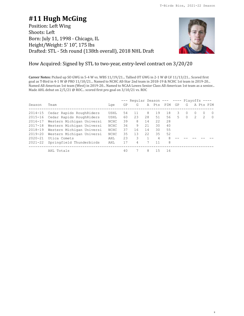# **#11 Hugh McGing**

Position: Left Wing Shoots: Left Born: July 11, 1998 - Chicago, IL Height/Weight: 5' 10", 175 lbs Drafted: STL - 5th round (138th overall), 2018 NHL Draft



8

### How Acquired: Signed by STL to two-year, entry-level contract on 3/20/20

**Career Notes:** Picked up SO GWG in 5-4 W vs. WBS 11/19/21... Tallied OT GWG in 2-1 W @ LV 11/13/21... Scored first goal as T-Bird in 4-1 W @ PRO 11/10/21... Named to NCHC All-Star 2nd team in 2018-19 & NCHC 1st team in 2019-20... Named All-American 1st team (West) in 2019-20... Named to NCAA Lowes Senior Class All-American 1st team as a senior... Made AHL debut on 2/5/21 @ ROC... scored first pro goal on 3/10/21 vs. ROC

|             |                           |             |    | $---$ Regular Season --- ---- Playoffs ---- |    |                |           |    |          |          |           |            |
|-------------|---------------------------|-------------|----|---------------------------------------------|----|----------------|-----------|----|----------|----------|-----------|------------|
| Season      | Team                      | Lae         | GP | G                                           |    |                | A Pts PIM | GP | G        |          | A Pts PIM |            |
| 2014-15     | Cedar Rapids RoughRiders  | USHL        | 54 | 11                                          | 8  | 19             | 18        | 3. | $\Omega$ | $\Omega$ | $\Omega$  | - 0        |
| $2015 - 16$ | Cedar Rapids RoughRiders  | USHL        | 60 | 23                                          | 28 | 51             | 56        | 5. | $\Omega$ | 2        | 2         | $\bigcirc$ |
| 2016-17     | Western Michigan Universi | NCHC        | 39 | 8                                           | 14 | 22             | 28        |    |          |          |           |            |
| $2017 - 18$ | Western Michigan Universi | NCHC        | 36 | 9                                           | 21 | 30             | 40        |    |          |          |           |            |
| 2018-19     | Western Michigan Universi | NCHC        | 37 | 16                                          | 14 | 30             | 55        |    |          |          |           |            |
| 2019-20     | Western Michigan Universi | <b>NCHC</b> | 35 | 13                                          | 22 | 35             | 52        |    |          |          |           |            |
| $2020 - 21$ | Utica Comets              | AHL.        | 23 | 3                                           |    | $\overline{4}$ | 8         |    |          |          |           |            |
| $2021 - 22$ | Springfield Thunderbirds  | AHL         | 17 | 4                                           |    | 11             | 8         |    |          |          |           |            |
|             | AHL Totals                |             | 40 |                                             | 8  | 1.5            | 16        |    |          |          |           |            |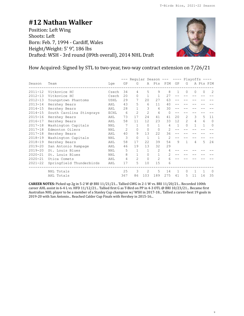### **#12 Nathan Walker**

Position: Left Wing Shoots: Left Born: Feb. 7, 1994 - Cardiff, Wales Height/Weight: 5' 9", 186 lbs Drafted: WSH - 3rd round (89th overall), 2014 NHL Draft



9

How Acquired: Signed by STL to two-year, two-way contract extension on 7/26/21

|             |                          |             |                |                | Reqular Season --- ---- Playoffs |                |                |                   |                |              |           |                |
|-------------|--------------------------|-------------|----------------|----------------|----------------------------------|----------------|----------------|-------------------|----------------|--------------|-----------|----------------|
| Season      | Team                     | Lge         | GP             | G              |                                  | A Pts          | PIM            | GP                | G              |              | A Pts PIM |                |
| $2011 - 12$ | Vitkovice HC             | Czech       | 34             | 4              | 5                                | 9              | 8              | 1                 | $\Omega$       | $\Omega$     | $\Omega$  | $\overline{c}$ |
| $2012 - 13$ | Vitkovice HC             | Czech       | 20             | $\Omega$       | $\mathbf{1}$                     | $\mathbf{1}$   | 27             |                   |                |              |           |                |
| $2012 - 13$ | Youngstown Phantoms      | USHL        | 29             |                | 20                               | 27             | 63             |                   |                |              |           |                |
| $2013 - 14$ | Hershey Bears            | AHL         | 43             | 5              | 6                                | 11             | 40             |                   |                |              |           |                |
| $2014 - 15$ | Hershey Bears            | AHL         | 28             |                | 3                                | 4              | 30             |                   |                |              |           |                |
| $2014 - 15$ | South Carolina Stingrays | <b>ECHL</b> | 6              | $\mathfrak{D}$ | $\overline{2}$                   | 4              | $\Omega$       |                   |                |              |           |                |
| $2015 - 16$ | Hershey Bears            | AHL         | 73             | 17             | 24                               | 41             | 41             | 20                | $\mathfrak{D}$ | 3            | 5         | 11             |
| $2016 - 17$ | Hershey Bears            | AHL         | 58             | 11             | 12                               | 23             | 33             | $12 \overline{ }$ | $\mathfrak{D}$ | 4            | 6         | $\Omega$       |
| $2017 - 18$ | Washington Capitals      | NHL         | 7              |                | $\Omega$                         | 1              | $\overline{4}$ | 1                 | $\Omega$       | $\mathbf{1}$ | 1         | 0              |
| $2017 - 18$ | Edmonton Oilers          | NHL         | $\overline{2}$ | $\Omega$       | 0                                | $\Omega$       | $\mathfrak{D}$ |                   |                |              |           |                |
| $2017 - 18$ | Hershey Bears            | AHL         | 40             | 9              | 13                               | 22             | 36             |                   |                |              |           |                |
| $2018 - 19$ | Washington Capitals      | NHL         | 3              | $\Omega$       | $\mathbf{1}$                     | $\mathbf{1}$   | $\mathfrak{D}$ |                   |                |              |           |                |
| $2018 - 19$ | Hershey Bears            | AHL         | 58             | 17             | 22                               | 39             | 54             | 9                 |                | 4            | 5         | 24             |
| $2019 - 20$ | San Antonio Rampage      | AHL         | 46             | 19             | 13                               | 32             | 29             |                   |                |              |           |                |
| $2019 - 20$ | St. Louis Blues          | NHL         | 5              |                | 1                                | $\mathfrak{D}$ |                |                   |                |              |           |                |
| $2020 - 21$ | St. Louis Blues          | <b>NHL</b>  | 8              |                | $\Omega$                         | 1              | 2              |                   |                |              |           |                |
| $2020 - 21$ | Utica Comets             | AHL         | 4              | $\overline{c}$ | 0                                | $\overline{2}$ | 6              |                   |                |              |           |                |
| $2021 - 22$ | Springfield Thunderbirds | AHL         | 17             | 5              | 10                               | 15             | 6              |                   |                |              |           |                |
|             | NHL Totals               |             | 25             | 3              | 2                                | 5              | 14             | 1                 | $\Omega$       |              |           | $\Omega$       |
|             | AHL Totals               |             | 367            | 86             | 103                              | 189            | 275            | 41                | 5              | 11           | 16        | 35             |

**CAREER NOTES:** Picked up 2g in 5-2 W @ BRI 11/21/21... Tallied GWG in 2-1 W vs. BRI 11/20/21... Recorded 100th career AHL assist in 6-4 L vs. HFD 11/12/21... Tallied first G as T-Bird on PP in 4-3 OTL @ BRI 10/23/21... Became first Australian NHL player to be a member of a Stanley Cup champion w/ WSH in 2017-18... Tallied a career-best 19 goals in 2019-20 with San Antonio... Reached Calder Cup Finals with Hershey in 2015-16...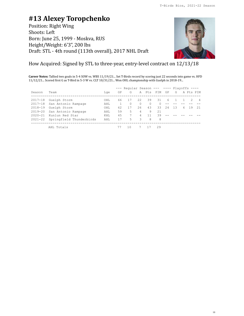### **#13 Alexey Toropchenko**

Position: Right Wing Shoots: Left Born: June 25, 1999 - Moskva, RUS Height/Weight: 6'3", 200 lbs Draft: STL - 4th round (113th overall), 2017 NHL Draft



### How Acquired: Signed by STL to three-year, entry-level contract on 12/13/18

**Career Notes:** Tallied two goals in 5-4 SOW vs. WBS 11/19/21... Set T-Birds record by scoring just 22 seconds into game vs. HFD 11/12/21... Scored first G as T-Bird in 5-3 W vs. CLT 10/31/21... Won OHL championship with Guelph in 2018-19...

|             |                          |      |     | $---$ Reqular Season --- ---- Plavoffs ---- |          |          |           |       |    |   |               |      |
|-------------|--------------------------|------|-----|---------------------------------------------|----------|----------|-----------|-------|----|---|---------------|------|
| Season      | Team                     | Lge  | GP  | G                                           |          |          | A Pts PIM | GP    | G  |   | A Pts PIM     |      |
| $2017 - 18$ | Guelph Storm             | OHL  | 66  | 17                                          | 2.2      | 39       | 31        | 6     |    |   | $\mathcal{P}$ | - 4  |
| $2017 - 18$ | San Antonio Rampage      | AHL  |     | $\Omega$                                    | $\Omega$ | $\Omega$ | $\Omega$  |       |    |   |               |      |
| $2018 - 19$ | Guelph Storm             | OHT. | 62  | 17                                          | 26       | 43       |           | 33 24 | 13 | 6 | 19            | - 21 |
| 2019-20     | San Antonio Rampage      | AHL  | 59  | 5.                                          | 4        | 9        | 21        |       |    |   |               |      |
| $2020 - 21$ | Kunlun Red Star          | KHT. | 4.5 | 7                                           | 4        | 11       | 39        |       |    |   |               |      |
| $2021 - 22$ | Springfield Thunderbirds | AHL  | 17  | .5                                          | 3        | 8        | 8         |       |    |   |               |      |
|             |                          |      |     |                                             |          |          |           |       |    |   |               |      |
|             | AHL Totals               |      |     |                                             |          |          | 29        |       |    |   |               |      |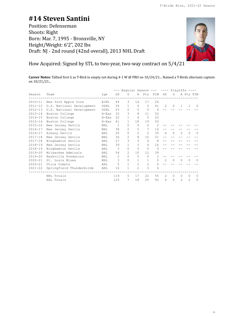# **#14 Steven Santini**

Position: Defenseman Shoots: Right Born: Mar. 7, 1995 - Bronxville, NY Height/Weight: 6'2", 202 lbs Draft: NJ - 2nd round (42nd overall), 2013 NHL Draft



How Acquired: Signed by STL to two-year, two-way contract on 5/4/21

**Career Notes:** Tallied first G as T-Bird in empty net during 4-1 W @ PRO on 10/24/21... Named a T-Birds alternate captain on 10/21/21...

|             |                           |            |              | Reqular Season --- |                |                |                | $---$ Playoffs $---$ |          |                |                |          |
|-------------|---------------------------|------------|--------------|--------------------|----------------|----------------|----------------|----------------------|----------|----------------|----------------|----------|
| Season      | Team                      | Lge        | GP           | G                  | Α              | Pts            | PIM            | GP                   | G        |                | A Pts PIM      |          |
| $2010 - 11$ | New York Apple Core       | EJHL       | 44           | 3                  | 14             | 17             | 26             |                      |          |                |                |          |
| $2011 - 12$ | U.S. National Development | USHL       | 36           |                    | $\overline{4}$ | 5.             | 41             | $\mathcal{L}$        | $\Omega$ | $\overline{1}$ | $\mathbf{1}$   | $\Omega$ |
| $2012 - 13$ | U.S. National Development | USHL       | 25           | $\Omega$           | 5              | 5              | 6              |                      |          |                |                |          |
| $2013 - 14$ | Boston College            | $H - Eas$  | 35           | 3                  | 8              | 11             | 52             |                      |          |                |                |          |
| $2014 - 15$ | Boston College            | $H-Eas$    | 22.2         | $\mathbf{1}$       | $\overline{4}$ | 5              | 20             |                      |          |                |                |          |
| $2015 - 16$ | Boston College            | $H - Eas$  | 41           | 1                  | 18             | 19             | 50             |                      |          |                |                |          |
| $2015 - 16$ | New Jersey Devils         | NHL        | $\mathbf{1}$ | $\Omega$           | $\Omega$       | $\bigcap$      | $\mathfrak{D}$ |                      |          |                |                |          |
| $2016 - 17$ | New Jersey Devils         | NHL        | 38           | 2                  | 5              | 7              | 14             |                      |          |                |                |          |
| $2016 - 17$ | Albany Devils             | AHL        | 20           | $\Omega$           | $\overline{c}$ | $\mathfrak{D}$ | 35             | 4                    | $\Omega$ | $\mathfrak{D}$ | $\mathfrak{D}$ | $\Omega$ |
| $2017 - 18$ | New Jersey Devils         | NHL        | 36           | 2                  | 8              | 10             | 2.1            |                      |          |                |                |          |
| $2017 - 18$ | Binghamton Devils         | AHL        | 2.7          | 3                  | 3              | 6              | 8              |                      |          |                |                |          |
| $2018 - 19$ | New Jersey Devils         | <b>NHL</b> | 39           |                    | 3              | 4              | 16             |                      |          |                |                |          |
| $2018 - 19$ | Binghamton Devils         | AHL        | 3            | $\Omega$           | $\Omega$       | $\Omega$       | $\Omega$       |                      |          |                |                |          |
| $2019 - 20$ | Milwaukee Admirals        | AHT.       | 54           | $\mathfrak{D}$     | 10             | 12.            | 39             |                      |          |                |                |          |
| $2019 - 20$ | Nashville Predators       | <b>NHL</b> | 2            | $\Omega$           | $\Omega$       | $\Omega$       | $\mathfrak{D}$ |                      |          |                |                |          |
| $2020 - 21$ | St. Louis Blues           | NHL        | 3            | $\Omega$           | $\mathbf{1}$   | $\mathbf{1}$   | $\Omega$       | $\mathfrak{D}$       | $\Omega$ | $\Omega$       | $\Omega$       | $\Omega$ |
| $2020 - 21$ | Utica Comets              | AHL        | 5            |                    | 1              | $\mathfrak{D}$ | 4              |                      |          |                |                |          |
| $2021 - 22$ | Springfield Thunderbirds  | AHL        | 16           |                    | $\overline{c}$ | 3              | 6              |                      |          |                |                |          |
|             | NHL Totals                |            | 119          | 5.                 | 17             | 22.2           | 55             | $\mathfrak{D}$       | $\Omega$ | $\bigcap$      | $\Omega$       | $\Omega$ |
|             | AHL Totals                |            | 125          | 7                  | 18             | 25             | 92             | 4                    | $\Omega$ | $\mathfrak{D}$ | $\mathfrak{D}$ | $\Omega$ |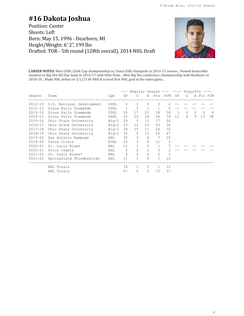# **#16 Dakota Joshua**

Position: Center Shoots: Left Born: May 15, 1996 - Dearborn, MI Height/Weight: 6' 2", 199 lbs Drafted: TOR - 5th round (128th overall), 2014 NHL Draft



**CAREER NOTES:** Won USHL Clark Cup championship w/ Sioux Falls Stampede in 2014-15 season... Named honorable mention to Big Ten All-Star team in 2016-17 with Ohio State... Won Big Ten conference championship with Buckeyes in 2018-19... Made NHL debut on 3/1/21 @ ANA & scored first NHL goal in the same game...

|             |                           |            |                   | Reqular Season --- ---- Playoffs |                   |                |                   |    |          |   |          |           |
|-------------|---------------------------|------------|-------------------|----------------------------------|-------------------|----------------|-------------------|----|----------|---|----------|-----------|
| Season      | Team                      | Lge        | GP                | G                                |                   | A Pts PIM      |                   | GP | G        |   |          | A Pts PIM |
| $2012 - 13$ | U.S. National Development | USHL       | 6                 | 2                                | $\Omega$          | $\mathfrak{D}$ | $\mathcal{L}$     |    |          |   |          |           |
| $2012 - 13$ | Sioux Falls Stampede      | USHL       | $\mathbf{1}$      | $\mathbf{0}$                     | 1                 | $\mathbf{1}$   |                   |    |          |   |          |           |
| $2013 - 14$ | Sioux Falls Stampede      | USHL       | 55                | 17                               | 21                | 38             | 58                | 3  | $\Omega$ | 0 | $\Omega$ | -8        |
| $2014 - 15$ | Sioux Falls Stampede      | USHL       | 52                | 20                               | 24                | 44             | 74                | 11 | 4        | 9 | 13       | 38        |
| $2015 - 16$ | Ohio State University     | $Big-1$    | 29                | 5                                | $12 \overline{ }$ | 17             | 50                |    |          |   |          |           |
| $2016 - 17$ | Ohio State University     | $Big-1$    | 33                | 12                               | 23                | 35             | 58                |    |          |   |          |           |
| $2017 - 18$ | Ohio State University     | $Big-1$    | 34                | 15                               | 11                | 26             | 32                |    |          |   |          |           |
| 2018-19     | Ohio State University     | $Big-1$    | 32                | 9                                | 13                | 22             | 67                |    |          |   |          |           |
| $2019 - 20$ | San Antonio Rampage       | AHL        | 30                | 3                                | 4                 | 7              | 25                |    |          |   |          |           |
| $2019 - 20$ | Tulsa Oilers              | ECHL       | 20                | 3                                | 8                 | 11             | 4                 |    |          |   |          |           |
| $2020 - 21$ | St. Louis Blues           | <b>NHL</b> | $12 \overline{ }$ | $\mathbf{1}$                     | $\Omega$          | 1              |                   |    |          |   |          |           |
| $2020 - 21$ | Utica Comets              | AHL        | 6                 | $\overline{2}$                   | $\mathbf{1}$      | 3              |                   |    |          |   |          |           |
| $2021 - 22$ | St. Louis Blues*          | <b>NHL</b> | 6                 | $\Omega$                         | $\mathbf{0}$      | $\mathbf{0}$   | 5                 |    |          |   |          |           |
| $2021 - 22$ | Springfield Thunderbirds  | AHL        | 11                | 1                                | 4                 | 5              | 10                |    |          |   |          |           |
|             | NHL Totals                |            | 18                | 1                                | 0                 |                | $12 \overline{ }$ |    |          |   |          |           |
|             | AHL Totals                |            | 47                | 6                                | 9                 | 15             | 37                |    |          |   |          |           |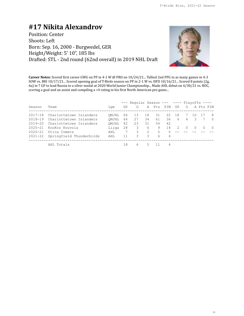### **#17 Nikita Alexandrov**

Position: Center Shoots: Left Born: Sep. 16, 2000 - Burgwedel, GER Height/Weight: 5' 10", 185 lbs Drafted: STL - 2nd round (62nd overall) in 2019 NHL Draft



**Career Notes:** Scored first career GWG on PP in 4-1 W @ PRO on 10/24/21... Tallied 2nd PPG in as many games in 4-3 SOW vs. BRI 10/17/21... Scored opening goal of T-Birds season on PP in 2-1 W vs. HFD 10/16/21... Scored 8 points (2g, 6a) in 7 GP to lead Russia to a silver medal at 2020 World Junior Championship... Made AHL debut on 4/30/21 vs. ROC, scoring a goal and an assist and compiling a +4 rating in his first North American pro game...

|             |                          |       |    | $---$ Reqular Season --- ---- Playoffs ---- |    |           |          |       |                |   |           |          |
|-------------|--------------------------|-------|----|---------------------------------------------|----|-----------|----------|-------|----------------|---|-----------|----------|
| Season      | Team                     | Lae   | GP | G.                                          |    | A Pts PIM |          | GP    | G              |   | A Pts PIM |          |
| $2017 - 18$ | Charlottetown Islanders  | OMJHL | 66 | 13                                          | 18 | 31        |          | 22 18 |                |   |           | - 8      |
| 2018-19     | Charlottetown Islanders  | OMJHL | 64 | 27                                          | 34 | 61        | 36       | 6     | $\overline{4}$ | 3 |           | $\Omega$ |
| 2019-20     | Charlottetown Islanders  | OMJHL | 42 | 23                                          | 31 | 54        | 42       |       |                |   |           |          |
| $2020 - 21$ | KooKoo Kouvola           | Liiga | 28 | 3                                           | 6  | 9         | 14       | 2     | $\bigcap$      |   |           | $\Omega$ |
| $2020 - 21$ | Utica Comets             | AHL.  | -7 | 3                                           | 2  | 5         | $\Omega$ |       |                |   |           |          |
| 2021-22     | Springfield Thunderbirds | AHL.  | 11 | 3                                           | 3  | 6         | 4        |       |                |   |           |          |
|             | AHL Totals               |       | 18 | 6                                           |    |           | 4        |       |                |   |           |          |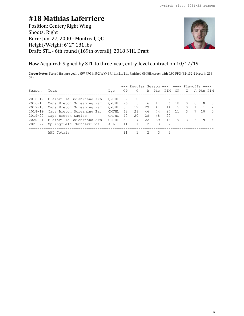# **#18 Mathias Laferriere**

Position: Center/Right Wing Shoots: Right Born: Jun. 27, 2000 - Montreal, QC Height/Weight: 6' 2", 181 lbs Draft: STL - 6th round (169th overall), 2018 NHL Draft



How Acquired: Signed by STL to three-year, entry-level contract on 10/17/19

**Career Notes:** Scored first pro goal, a GW PPG in 5-2 W @ BRI 11/21/21... Finished QMJHL career with 0.90 PPG (82-132-214pts in 238 GP)...

|             |                           |       |    | $---$ Reqular Season --- ---- Plavoffs ---- |    |     |     |     |          |          |           |                |
|-------------|---------------------------|-------|----|---------------------------------------------|----|-----|-----|-----|----------|----------|-----------|----------------|
| Season      | Team                      | Lae   | GΡ | G                                           | A  | Pts | PIM | GP  | G        |          | A Pts PIM |                |
| $2016 - 17$ | Blainville-Boisbriand Arm | OMJHL |    | $\Omega$                                    |    |     |     |     |          |          |           |                |
| 2016-17     | Cape Breton Screaming Eag | OMJHL | 26 | 5                                           | 6  | 11  | 6   | 10  | $\Omega$ | $\Omega$ | $\Omega$  | $\Omega$       |
| 2017-18     | Cape Breton Screaming Eag | OMJHL | 67 | 12                                          | 29 | 41  | 14  | 5   | $\Omega$ |          |           | -2             |
| 2018-19     | Cape Breton Screaming Eag | OMJHL | 68 | 28                                          | 46 | 74  | 24  | -11 | 3        |          | 10        | $\Omega$       |
| $2019 - 20$ | Cape Breton Eagles        | OMJHL | 40 | 20                                          | 28 | 48  | 20  |     |          |          |           |                |
| $2020 - 21$ | Blainville-Boisbriand Arm | OMJHL | 30 | 17                                          | 22 | 39  | 16  | 9   | 3        | 6        | 9         | $\overline{4}$ |
| $2021 - 22$ | Springfield Thunderbirds  | AHL.  | 11 |                                             | 2  | 3   | -2  |     |          |          |           |                |
|             | AHL Totals                |       |    |                                             |    | 3   |     |     |          |          |           |                |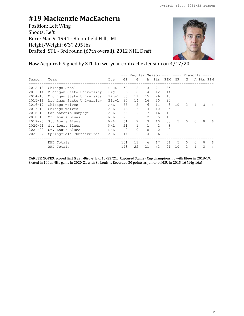# **#19 Mackenzie MacEachern**

Position: Left Wing Shoots: Left Born: Mar. 9, 1994 - Bloomfield Hills, MI Height/Weight: 6'3", 205 lbs Drafted: STL - 3rd round (67th overall), 2012 NHL Draft



How Acquired: Signed by STL to two-year contract extension on 4/17/20

|             |                           |            | Reqular Season --- ---- |                |          |                   |          |    | Playoffs      |          |          |           |
|-------------|---------------------------|------------|-------------------------|----------------|----------|-------------------|----------|----|---------------|----------|----------|-----------|
| Season      | Team                      | Lge        | GP                      | G              | A        | Pts               | PIM      | GP | G             |          |          | A Pts PIM |
| $2012 - 13$ | Chicago Steel             | USHL       | 50                      | 8              | 13       | 21                | 35       |    |               |          |          |           |
| $2013 - 14$ | Michigan State University | $Big-1$    | 36                      | 8              | 4        | $12 \overline{ }$ | 14       |    |               |          |          |           |
| $2014 - 15$ | Michigan State University | $Big-1$    | 35                      | 11             | 15       | 26                | 10       |    |               |          |          |           |
| $2015 - 16$ | Michigan State University | $Big-1$    | 37                      | 14             | 16       | 30                | 20       |    |               |          |          |           |
| $2016 - 17$ | Chicago Wolves            | AHL        | 55                      | 5.             | 6        | 11                | 8        | 10 | $\mathcal{L}$ |          | 3        | 4         |
| $2017 - 18$ | Chicago Wolves            | AHL        | 46                      | 6              | 4        | 10                | 25       |    |               |          |          |           |
| $2018 - 19$ | San Antonio Rampage       | AHL        | 33                      | 9              | 7        | 16                | 18       |    |               |          |          |           |
| $2018 - 19$ | St. Louis Blues           | <b>NHL</b> | 29                      | 3              | 2        | 5                 | 10       |    |               |          |          |           |
| $2019 - 20$ | St. Louis Blues           | NHL        | 51                      |                | 3        | 10                | 33       | 5  | $\Omega$      | $\Omega$ | $\Omega$ | 6         |
| $2020 - 21$ | St. Louis Blues           | <b>NHL</b> | 21                      |                |          | $\mathfrak{D}$    | 8        |    |               |          |          |           |
| $2021 - 22$ | St. Louis Blues           | <b>NHL</b> | $\Omega$                | $\Omega$       | $\Omega$ | $\Omega$          | $\Omega$ |    |               |          |          |           |
| $2021 - 22$ | Springfield Thunderbirds  | AHL        | 14                      | $\mathfrak{D}$ | 4        | 6                 | 20       |    |               |          |          |           |
|             | NHL Totals                |            | 101                     | 11             | 6        | 17                | 51       | 5  | $\Omega$      | $\Omega$ | 0        | 6         |
|             | AHL Totals                |            | 148                     | 22             | 21       | 43                | 71       | 10 | 2             |          | 3        | 4         |

**CAREER NOTES**: Scored first G as T-Bird @ BRI 10/23/21... Captured Stanley Cup championship with Blues in 2018-19… Skated in 100th NHL game in 2020-21 with St. Louis… Recorded 30 points as junior at MSU in 2015-16 (14g-16a)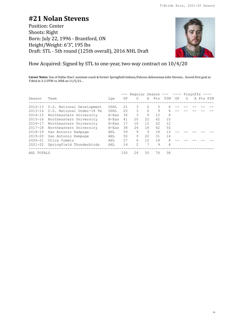### **#21 Nolan Stevens**

Position: Center Shoots: Right Born: July 22, 1996 - Brantford, ON Height/Weight: 6'3", 195 lbs Draft: STL - 5th round (125th overall), 2016 NHL Draft



How Acquired: Signed by STL to one-year, two-way contract on 10/4/20

**Career Notes**: Son of Dallas Stars' assistant coach & former Springfield Indians/Falcons defenseman John Stevens... Scored first goal as T-Bird in 3-2 OTW vs. HER on 11/5/21...

|             |                                   |         |    | --- Regular Season --- ---- Plavoffs ---- |    |    |           |    |   |  |           |
|-------------|-----------------------------------|---------|----|-------------------------------------------|----|----|-----------|----|---|--|-----------|
| Season      | Team                              | Lae     | GP | G                                         |    |    | A Pts PIM | GP | G |  | A Pts PIM |
|             | 2012-13 U.S. National Development | USHL    | 21 | 3                                         | 2  | 5  |           |    |   |  |           |
| $2013 - 14$ | U.S. National Under-18 Te         | USHL    | 25 | 3                                         | 6  | 9  | 6         |    |   |  |           |
| $2014 - 15$ | Northeastern University           | $H-Eas$ | 36 | 3                                         | 9  | 12 | 8         |    |   |  |           |
| $2015 - 16$ | Northeastern University           | $H-Eas$ | 41 | 20                                        | 22 | 42 | 10        |    |   |  |           |
| 2016-17     | Northeastern University           | $H-Eas$ | 17 | 10                                        | 12 | 22 | 12        |    |   |  |           |
| $2017 - 18$ | Northeastern University           | $H-Eas$ | 38 | 24                                        | 18 | 42 | 50        |    |   |  |           |
| $2018 - 19$ | San Antonio Rampage               | AHL     | 59 | 9                                         | 9  | 18 | 12        |    |   |  |           |
| 2019-20     | San Antonio Rampage               | AHL     | 50 | 9                                         | 22 | 31 | 14        |    |   |  |           |
| $2020 - 21$ | Utica Comets                      | AHL     | 27 | 6                                         | 12 | 18 | 8         |    |   |  |           |
| $2021 - 22$ | Springfield Thunderbirds          | AHL     | 14 | 2                                         | 7  | 9  | 4         |    |   |  |           |
|             | AHL TOTALS                        |         |    | 26                                        | 50 | 76 | 38        |    |   |  |           |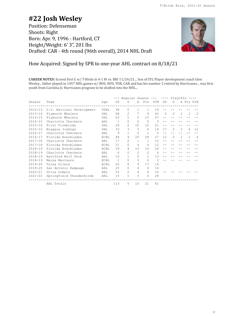### **#22 Josh Wesley** Position: Defenseman Shoots: Right Born: Apr. 9, 1996 - Hartford, CT Height/Weight: 6' 3", 201 lbs Drafted: CAR - 4th round (96th overall), 2014 NHL Draft



### How Acquired: Signed by SPR to one-year AHL contract on 8/18/21

**CAREER NOTES:** Scored first G w/ T-Birds in 4-1 W vs. BRI 11/24/21... Son of STL Player development coach Glen Wesley... father played in 1457 NHL games w/ BOS, HFD, TOR, CAR and has his number 2 retired by Hurricanes... was first youth from Carolina Jr. Hurricanes program to be drafted into the NHL...

|             |                           |      |              |                |                |               |                | --- Regular Season --- ---- Playoffs ---- |               |                |           |                |
|-------------|---------------------------|------|--------------|----------------|----------------|---------------|----------------|-------------------------------------------|---------------|----------------|-----------|----------------|
| Season      | Team                      | Lge  | GP           | G              | A              | Pts           | PIM            | GP                                        | G             |                | A Pts PTM |                |
| $2012 - 13$ | U.S. National Development | USHL | 38           | $\Omega$       | 1              | 1.            | 14             |                                           |               |                |           |                |
| $2013 - 14$ | Plymouth Whalers          | OHT. | 68           | $\mathcal{P}$  | 7              | 9             | 62             | .5                                        | $\Omega$      | 1              | 1         | $\mathcal{L}$  |
| $2014 - 15$ | Plymouth Whalers          | OHT. | 63           | 5              | 5              | 10            | 67             |                                           |               |                |           |                |
| $2014 - 15$ | Charlotte Checkers        | AHT. | 1            | $\Omega$       | $\Omega$       | $\Omega$      | $\Omega$       |                                           |               |                |           |                |
| $2015 - 16$ | Flint Firebirds           | OHL  | 2.4          | $\mathcal{L}$  | 10             | 12            | 21             |                                           |               |                |           |                |
| $2015 - 16$ | Niagara IceDogs           | OHL  | 33           | 3              | 3              | 6             | 14             | 17                                        | $\mathcal{L}$ | $\mathfrak{D}$ | 4         | 12.            |
| $2016 - 17$ | Charlotte Checkers        | AHL  | 9            | $\mathbf{1}$   | $\Omega$       | 1             | $\Omega$       |                                           |               |                |           |                |
| $2016 - 17$ | Florida Everblades        | ECHL | 48           | 9              | 20             | 29            | 27             | 12.                                       | $\Omega$      | $\mathbf{1}$   | -1        | $\overline{4}$ |
| $2017 - 18$ | Charlotte Checkers        | AHT. | 17           | $\Omega$       | $\mathbf{1}$   | 1.            | 10             |                                           |               |                |           |                |
| $2017 - 18$ | Florida Everblades        | ECHL | 2.1          | $\Omega$       | 4              | 4             | 12             |                                           |               |                |           |                |
| $2018 - 19$ | Florida Everblades        | ECHL | 39           | 4              | 10             | 14            | 26             |                                           |               |                |           |                |
| $2018 - 19$ | Charlotte Checkers        | AHT. | 6            | $\bigcap$      | $\mathfrak{D}$ | $\mathcal{L}$ | 6              |                                           |               |                |           |                |
| $2018 - 19$ | Hartford Wolf Pack        | AHL  | 15           | 1              | $\Omega$       | 1.            | 13             |                                           |               |                |           |                |
| $2018 - 19$ | Maine Mariners            | ECHL | $\mathbf{1}$ | $\Omega$       | $\Omega$       | $\Omega$      | $\mathfrak{D}$ |                                           |               |                |           |                |
| $2019 - 20$ | Tulsa Oilers              | ECHL | 2.6          | 8              | $\mathcal{Q}$  | 17            | 16             |                                           |               |                |           |                |
| $2019 - 20$ | San Antonio Rampage       | AHL  | 2.5          | $\Omega$       | 4              | 4             | 14             |                                           |               |                |           |                |
| $2020 - 21$ | Utica Comets              | AHL  | 2.5          | $\mathfrak{D}$ | 4              | 6             | 10             |                                           |               |                |           |                |
| $2021 - 22$ | Springfield Thunderbirds  | AHL  | 15           | 1              | 5              | 6             | 28             |                                           |               |                |           |                |
|             | AHL Totals                |      | 113          | 5              | 16             | 2.1           | 81             |                                           |               |                |           |                |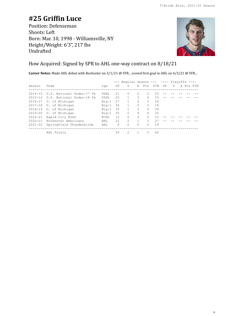# **#25 Griffin Luce**

Position: Defenseman Shoots: Left Born: Mar. 10, 1998 - Williamsville, NY Height/Weight: 6'3", 217 lbs Undrafted



#### How Acquired: Signed by SPR to AHL one-way contract on 8/18/21

**Career Notes:** Made AHL debut with Rochester on 3/1/21 @ SYR... scored first goal in AHL on 4/3/21 @ SYR...

|             |                                   |         |      | Reqular Season --- ---- Playoffs ---- |                |                             |    |    |   |           |  |
|-------------|-----------------------------------|---------|------|---------------------------------------|----------------|-----------------------------|----|----|---|-----------|--|
| Season      | Team                              | Lge     | GP   | G                                     |                | A Pts PIM                   |    | GP | G | A Pts PIM |  |
|             |                                   |         |      |                                       |                |                             |    |    |   |           |  |
| $2014 - 15$ | U.S. National Under-17 Te         | USHL    | 2.1  | $\Omega$                              | $\mathcal{L}$  | $\mathcal{L}$               | 53 |    |   |           |  |
|             | 2015-16 U.S. National Under-18 Te | USHL    | 2.5  | 1.                                    | 3              | 4                           | 33 |    |   |           |  |
| $2016 - 17$ | U. of Michigan                    | $Big-1$ | 27   | $\mathbf{1}$                          | $\mathfrak{D}$ | 3                           | 28 |    |   |           |  |
|             | 2017-18 U. of Michigan            | $Big-1$ | 34   | $\mathbf{1}$                          | $\mathfrak{D}$ | 3                           | 18 |    |   |           |  |
|             | 2018-19 U. of Michigan            | Big-1   | 35   |                                       | 3              | 4                           | 39 |    |   |           |  |
| $2019 - 20$ | U. of Michigan                    | $Big-1$ | 35   | $\Omega$                              | 4              | 4                           | 25 |    |   |           |  |
| 2020-21     | Rapid City Rush                   | ECHL.   | 12.  | $\Omega$                              | $\mathcal{L}$  | $\mathcal{D}_{\mathcal{L}}$ | 10 |    |   |           |  |
| $2020 - 21$ | Rochester Americans               | AHL     | 2.2. | $\mathfrak{D}$                        |                | 3                           | 27 |    |   |           |  |
| $2021 - 22$ | Springfield Thunderbirds          | AHT.    | 8    | $\Omega$                              | 0              | 0                           | 19 |    |   |           |  |
|             | AHL Totals                        |         | 30   | 2                                     |                | 3                           | 46 |    |   |           |  |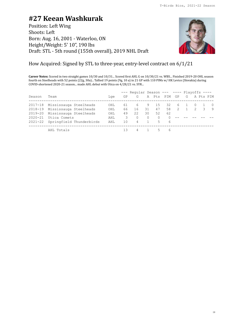### **#27 Keean Washkurak**

Position: Left Wing Shoots: Left Born: Aug. 16, 2001 - Waterloo, ON Height/Weight: 5' 10", 190 lbs Draft: STL - 5th round (155th overall), 2019 NHL Draft



### How Acquired: Signed by STL to three-year, entry-level contract on 6/1/21

**Career Notes:** Scored in two straight games 10/30 and 10/31... Scored first AHL G on 10/30/21 vs. WBS... Finished 2019-20 OHL season fourth on Steelheads with 52 points (22g, 30a)... Tallied 19 points (9g, 10 a) in 21 GP with 110 PIMs w/ HK Levice (Slovakia) during COVID-shortened 2020-21 season... made AHL debut with Utica on 4/28/21 vs. SYR...

|             |                                  |     |     | $---$ Regular Season --- ---- Plavoffs ---- |              |          |           |     |  |             |            |
|-------------|----------------------------------|-----|-----|---------------------------------------------|--------------|----------|-----------|-----|--|-------------|------------|
| Season      | Team                             | Lae | GP  | G                                           |              |          | A Pts PIM | GP  |  | G A Pts PIM |            |
|             | 2017-18 Mississauga Steelheads   | OHL | 61  | 6                                           | 9.           | 15       | 32        | 6 1 |  |             | $\bigcirc$ |
|             | 2018-19 Mississauga Steelheads   | OHL | 66  | 16                                          | 31           | 47       | 58        | 2   |  | 2 3         | - 9        |
|             | 2019-20 Mississauga Steelheads   | OHL | 49  | 22                                          | 30           | 52       | 62        |     |  |             |            |
| $2020 - 21$ | Utica Comets                     | AHL | 3   | $\Omega$                                    | $\Omega$     | $\Omega$ |           |     |  |             |            |
|             | 2021-22 Springfield Thunderbirds | AHL | 1 O | $\overline{4}$                              | $\mathbf{1}$ | 5        | -6        |     |  |             |            |
|             | AHL Totals                       |     | 13  |                                             |              | -5.      | 6         |     |  |             |            |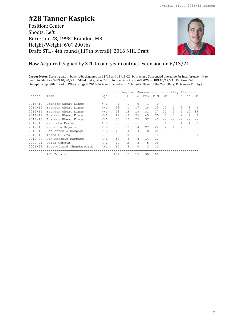### **#28 Tanner Kaspick**

Position: Center Shoots: Left Born: Jan. 28, 1998- Brandon, MB Height/Weight: 6'0", 200 lbs Draft: STL - 4th round (119th overall), 2016 NHL Draft



### How Acquired: Signed by STL to one-year contract extension on 6/13/21

**Career Notes:** Scored goals in back-to-back games on 11/13 and 11/19/21, both wins... Suspended one game for interference (hit to head) incident vs. WBS 10/30/21... Tallied first goal as T-Bird to open scoring in 4-3 SOW vs. BRI 10/17/21... Captured WHL championship with Brandon Wheat Kings in 2015-16 & was named WHL Scholastic Player of the Year (Daryl K. Seaman Trophy)...

|             |                          |      |     | Reqular Season --- ---- Playoffs ---- |          |       |       |                |          |               |                |          |
|-------------|--------------------------|------|-----|---------------------------------------|----------|-------|-------|----------------|----------|---------------|----------------|----------|
| Season      | Team                     | Lge  | GP  | G                                     |          | A Pts | PIM   | GP             | G        |               | A Pts PIM      |          |
| $2013 - 14$ | Brandon Wheat Kings      | WHL  |     |                                       |          |       |       |                |          |               |                |          |
| $2014 - 15$ | Brandon Wheat Kings      | WHL  | 53  |                                       | 17       | 18    | 1.5   | 13             |          | $\mathcal{L}$ | 3              | 4        |
| $2015 - 16$ | Brandon Wheat Kings      | WHL  | 53  | 13                                    | 18       | 31    | 37    | 21             | 5        | 5             | 10             | 38       |
| $2016 - 17$ | Brandon Wheat Kings      | WHL  | 49  | 19                                    | 2.6      | 45    | 75    | $\mathcal{L}$  | $\Omega$ | $\mathcal{P}$ | $\mathfrak{D}$ | 8        |
| $2017 - 18$ | Brandon Wheat Kings      | WHL  | 35  | 12.                                   | 2.5      | 37    | 43    |                |          |               |                |          |
| $2017 - 18$ | Manitoba Moose           | AHL  |     |                                       |          |       | $- -$ |                | $\Omega$ |               |                | $\Omega$ |
| $2017 - 18$ | Victoria Royals          | WHL  | 25  | 13                                    | 14       | 2.7   | 2.2.  | $\mathfrak{D}$ |          | $\mathcal{P}$ | 3              | 6        |
| $2018 - 19$ | San Antonio Rampage      | AHL  | 46  | 4                                     | 4        | 8     | 2.4   |                |          |               |                |          |
| $2018 - 19$ | Tulsa Oilers             | ECHL | 6   | $\Omega$                              |          | 1     | 4     | 18             | 3        | $\mathcal{L}$ | 5.             | 2.0      |
| $2019 - 20$ | San Antonio Rampage      | AHL  | 59  | 6                                     | 8        | 14    | 33    |                |          |               |                |          |
| $2020 - 21$ | Utica Comets             | AHL  | 20  | $\mathfrak{D}$                        | 3        | 5     | 16    |                |          |               |                |          |
| $2021 - 22$ | Springfield Thunderbirds | AHL  | 14  | 3                                     | $\Omega$ | 3     | 10    |                |          |               |                |          |
|             | AHL Totals               |      | 139 | 1.5                                   | 1.5      | 30    | 83    |                |          |               |                |          |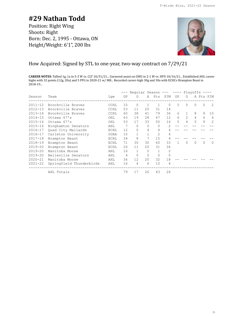### **#29 Nathan Todd**

Position: Right Wing Shoots: Right Born: Dec. 2, 1995 - Ottawa, ON Height/Weight: 6'1", 200 lbs



#### How Acquired: Signed by STL to one-year, two-way contract on 7/29/21

**CAREER NOTES:** Tallied 1g, 1a in 5-3 W vs. CLT 10/31/21... Garnered assist on GWG in 2-1 W vs. HFD 10/16/21... Established AHL career highs with 32 points (12g, 20a) and 5 PPG in 2020-21 w/ MB... Recorded career-high 30g and 30a with ECHL's Brampton Beast in 2018-19...

|             |                          |             |    | Reqular Season |          |                | $---$          | $---$ Playoffs $---$ |                |   |          |           |
|-------------|--------------------------|-------------|----|----------------|----------|----------------|----------------|----------------------|----------------|---|----------|-----------|
| Season      | Team                     | Lge         | GP | G              |          | A Pts          | PIM            | GP                   | G              |   |          | A Pts PIM |
| $2011 - 12$ | Brockville Braves        | CCHL        | 10 | $\Omega$       | 1        | 1              | $\Omega$       | 5                    | $\Omega$       | 0 | $\Omega$ | 2         |
| $2012 - 13$ | Brockville Braves        | <b>CCHL</b> | 53 | 11             | 20       | 31             | 14             |                      |                |   |          |           |
| $2013 - 14$ | Brockville Braves        | CCHL        | 60 | 38             | 41       | 79             | 36             | 6                    | $\mathbf{1}$   | 8 | 9        | 10        |
| $2014 - 15$ | Ottawa 67's              | OHL         | 63 | 19             | 28       | 47             | 12             | 6                    | $\mathfrak{D}$ | 4 | 6        | 6         |
| $2015 - 16$ | Ottawa 67's              | OHL         | 53 | 17             | 33       | 50             | 16             | 5                    | 4              | 5 | 9        | 2         |
| $2015 - 16$ | Binghamton Senators      | AHL         | 7  | $\Omega$       | $\Omega$ | $\Omega$       | $\mathfrak{D}$ |                      |                |   |          |           |
| $2016 - 17$ | Quad City Mallards       | ECHL        | 12 | $\Omega$       | 4        | 4              | 4              |                      |                |   |          |           |
| $2016 - 17$ | Carleton University      | <b>OUAA</b> | 10 |                | 1        | $\overline{2}$ | 4              |                      |                |   |          |           |
| $2017 - 18$ | Brampton Beast           | ECHL        | 34 | 8              | 7        | 15             | 4              |                      |                |   |          |           |
| $2018 - 19$ | Brampton Beast           | ECHL        | 71 | 30             | 30       | 60             | 33             |                      | $\Omega$       | 0 | $\Omega$ | $\Omega$  |
| $2019 - 20$ | Brampton Beast           | ECHL        | 26 | 11             | 20       | 31             | 34             |                      |                |   |          |           |
| $2019 - 20$ | Manitoba Moose           | AHL         | 16 |                | $\Omega$ | 1              | 2              |                      |                |   |          |           |
| $2019 - 20$ | Belleville Senators      | AHL         | 4  | $\Omega$       | 0        | 0              | $\Omega$       |                      |                |   |          |           |
| $2020 - 21$ | Manitoba Moose           | AHL         | 36 | 12             | 20       | 32             | 18             |                      |                |   |          |           |
| $2021 - 22$ | Springfield Thunderbirds | AHL         | 16 | 4              | 6        | 10             | 4              |                      |                |   |          |           |
|             | AHL Totals               |             | 79 | 17             | 26       | 43             | 26             |                      |                |   |          |           |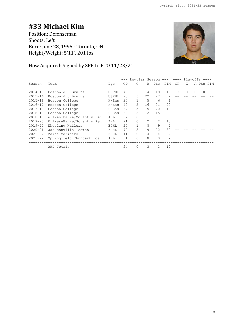# **#33 Michael Kim**

Position: Defenseman Shoots: Left Born: June 28, 1995 - Toronto, ON Height/Weight: 5'11", 201 lbs



### How Acquired: Signed by SPR to PTO 11/23/21

|             |                           |             |    | --- Regular Season --- ---- Playoffs |                |                |                |    |          |          |          |           |
|-------------|---------------------------|-------------|----|--------------------------------------|----------------|----------------|----------------|----|----------|----------|----------|-----------|
| Season      | Team                      | Lge         | GP | G                                    |                | A Pts PIM      |                | GP | G        |          |          | A Pts PIM |
| $2014 - 15$ | Boston Jr. Bruins         | USPHL       | 48 | 5.                                   | 14             | 19             | 18             | 3  | $\Omega$ | $\Omega$ | $\Omega$ | 0         |
| $2015 - 16$ | Boston Jr. Bruins         | USPHL       | 28 | 5                                    | 22             | 27             | 2              |    |          |          |          |           |
| $2015 - 16$ | Boston College            | $H$ – $Eas$ | 24 | $\mathbf{1}$                         | 5              | 6              | 6              |    |          |          |          |           |
| $2016 - 17$ | Boston College            | $H$ – $Eas$ | 40 | 5.                                   | 16             | 21             | 20             |    |          |          |          |           |
| $2017 - 18$ | Boston College            | $H-Eas$     | 37 | 5.                                   | 15             | 20             | 12             |    |          |          |          |           |
| $2018 - 19$ | Boston College            | $H-Eas$     | 39 | 3                                    | 12             | 15             | 8              |    |          |          |          |           |
| $2018 - 19$ | Wilkes-Barre/Scranton Pen | AHL         | 2  | 0                                    |                |                |                |    |          |          |          |           |
| $2019 - 20$ | Wilkes-Barre/Scranton Pen | AHL         | 21 | $\Omega$                             | $\mathfrak{D}$ | $\mathfrak{D}$ | 10             |    |          |          |          |           |
| $2019 - 20$ | Wheeling Nailers          | ECHL        | 20 |                                      | 8              | 9              | $\overline{2}$ |    |          |          |          |           |
| $2020 - 21$ | Jacksonville Icemen       | ECHL        | 70 | 3                                    | 19             | 22             | 32             |    |          |          |          |           |
| $2021 - 22$ | Maine Mariners            | ECHL        | 11 | $\bigcap$                            | 4              | 4              | $\mathfrak{D}$ |    |          |          |          |           |
| $2021 - 22$ | Springfield Thunderbirds  | AHL         | 1  | $\bigcap$                            | $\Omega$       | $\Omega$       | $\mathcal{P}$  |    |          |          |          |           |
|             | AHL Totals                |             | 24 | $\Omega$                             | 3              | 3              | 12             |    |          |          |          |           |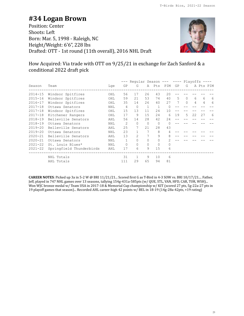### **#34 Logan Brown**

Position: Center Shoots: Left Born: Mar. 5, 1998 - Raleigh, NC Height/Weight: 6'6", 228 lbs Drafted: OTT - 1st round (11th overall), 2016 NHL Draft



### How Acquired: Via trade with OTT on 9/25/21 in exchange for Zach Sanford & a conditional 2022 draft pick

|             |                          |            |                | Regular Season --- ---- Playoffs |              |              |          |    |          |    |    |           |
|-------------|--------------------------|------------|----------------|----------------------------------|--------------|--------------|----------|----|----------|----|----|-----------|
| Season      | Team                     | Lge        | GP             | G                                |              | A Pts PIM    |          | GP | G        |    |    | A Pts PIM |
| $2014 - 15$ | Windsor Spitfires        | OHL        | 56             | 17                               | 26           | 43           | 20       |    |          |    |    |           |
| $2015 - 16$ | Windsor Spitfires        | OHL        | 59             | 21                               | 53           | 74           | 40       | 5  | $\Omega$ | 6  | 6  | 6         |
| $2016 - 17$ | Windsor Spitfires        | OHL        | 35             | 14                               | 26           | 40           | 27       | 7  | $\Omega$ | 4  | 4  | 6         |
| $2017 - 18$ | Ottawa Senators          | <b>NHL</b> | $\overline{4}$ | $\Omega$                         | $\mathbf{1}$ | $\mathbf 1$  | $\Omega$ |    |          |    |    |           |
| $2017 - 18$ | Windsor Spitfires        | OHL        | 15             | 13                               | 11           | 24           | 10       |    |          |    |    |           |
| $2017 - 18$ | Kitchener Rangers        | OHL        | 17             | 9                                | 15           | 24           | 6        | 19 | 5        | 22 | 27 | 6         |
| $2018 - 19$ | Belleville Senators      | AHL        | 56             | 14                               | 28           | 42           | 24       |    |          |    |    |           |
| $2018 - 19$ | Ottawa Senators          | <b>NHL</b> | 2              | $\Omega$                         | 0            | $\Omega$     | ∩        |    |          |    |    |           |
| $2019 - 20$ | Belleville Senators      | AHL        | 25             |                                  | 21           | 28           | 43       |    |          |    |    |           |
| $2019 - 20$ | Ottawa Senators          | NHL        | 23             |                                  | 7            | 8            |          |    |          |    |    |           |
| $2020 - 21$ | Belleville Senators      | AHL        | 13             | 2                                | 7            | 9            | 8        |    |          |    |    |           |
| $2020 - 21$ | Ottawa Senators          | <b>NHL</b> | $\mathbf{1}$   | $\circ$                          | 0            | 0            |          |    |          |    |    |           |
| $2021 - 22$ | St. Louis Blues*         | <b>NHL</b> | $\mathbf{0}$   | $\Omega$                         | 0            | $\mathbf{0}$ | 0        |    |          |    |    |           |
| $2021 - 22$ | Springfield Thunderbirds | AHL        | 17             | 6                                | 9            | 15           | 6        |    |          |    |    |           |
|             | NHL Totals               |            | 31             | $\mathbf{1}$                     | 9            | 10           | 6        |    |          |    |    |           |
|             | AHL Totals               |            | 111            | 29                               | 65           | 94           | 81       |    |          |    |    |           |

**CAREER NOTES**: Picked up 3a in 5-2 W @ BRI 11/21/21... Scored first G as T-Bird in 4-3 SOW vs. BRI 10/17/21.... Father, Jeff, played in 747 NHL games over 13 seasons, tallying 154g-431a-585pts (w/ QUE, STL, VAN, HFD, CAR, TOR, WSH)... Won WJC bronze medal w/ Team USA in 2017-18 & Memorial Cup championship w/ KIT (scored 27 pts, 5g-22a-27 pts in 19 playoff games that season)... Recorded AHL career-high 42 points w/ BEL in 18-19 (14g-28a-42pts, +19 rating)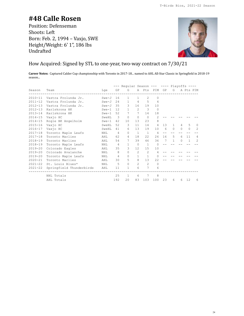# **#48 Calle Rosen**

Position: Defenseman Shoots: Left Born: Feb. 2, 1994 – Vaxjo, SWE Height/Weight: 6' 1", 186 lbs Undrafted



#### How Acquired: Signed by STL to one-year, two-way contract on 7/30/21

**Career Notes:** Captured Calder Cup championship with Toronto in 2017-18... named to AHL All-Star Classic in Springfield in 2018-19 season...

|             |                          |            |                | --- Reqular Season --- |                |                |                | $---$ Playoffs $---$ |          |           |                |                |
|-------------|--------------------------|------------|----------------|------------------------|----------------|----------------|----------------|----------------------|----------|-----------|----------------|----------------|
| Season      | Team                     | Lge        | GP             | G                      | Α              | Pts            | PIM            | GP                   | G        |           |                | A Pts PIM      |
| $2010 - 11$ | Vastra Frolunda Jr.      | $Swe-J$    | 16             | 1                      | 1.             | $\mathfrak{D}$ | $\Omega$       |                      |          |           |                |                |
| $2011 - 12$ | Vastra Frolunda Jr.      | $Swe-J$    | 2.4            | 1                      | $\overline{4}$ | 5              | $\overline{4}$ |                      |          |           |                |                |
| $2012 - 13$ | Vastra Frolunda Jr.      | $Swe-J$    | 35             | 3                      | 16             | 19             | 10             |                      |          |           |                |                |
| $2012 - 13$ | Karlskrona HK            | $Swe-1$    | 12.            | 1                      | $\mathfrak{D}$ | 3              | $\Omega$       |                      |          |           |                |                |
| $2013 - 14$ | Karlskrona HK            | $Swe-1$    | 52             | 7                      | 7              | 14             | 18             |                      |          |           |                |                |
| $2014 - 15$ | Vaxio HC                 | SweHL      | 3              | $\Omega$               | $\Omega$       | $\Omega$       | $\mathfrak{D}$ |                      |          |           |                |                |
| $2014 - 15$ | Rogle BK Angelholm       | $Swe-1$    | 42             | 10                     | 13             | 23             | 8              |                      |          |           |                |                |
| $2015 - 16$ | Vaxio HC                 | SweHL      | 52             | 3                      | 11             | 14             | $\overline{4}$ | 13                   | 1        | 4         | 5              | $\bigcap$      |
| $2016 - 17$ | Vaxio HC                 | SweHL      | 41             | 6                      | 13             | 19             | 10             | 6                    | $\Omega$ | $\bigcap$ | $\Omega$       | 2              |
| $2017 - 18$ | Toronto Maple Leafs      | NHL        | $\overline{4}$ | $\Omega$               | $\overline{1}$ | $\mathbf{1}$   | 4              | --                   |          |           |                |                |
| $2017 - 18$ | Toronto Marlies          | AHT.       | 62             | 4                      | 18             | 22.2           | 2.6            | 16                   | 5        | 6         | 11             | 4              |
| $2018 - 19$ | Toronto Marlies          | AHL        | 54             | 7                      | 39             | 46             | 36             | 7                    | 1        | $\Omega$  | $\overline{1}$ | $\mathfrak{D}$ |
| $2018 - 19$ | Toronto Maple Leafs      | <b>NHL</b> | $\overline{4}$ | 1                      | $\Omega$       | $\mathbf{1}$   | $\Omega$       |                      |          |           |                |                |
| $2019 - 20$ | Colorado Eagles          | AHL        | 35             | 3                      | 12.            | 15             | 10             |                      |          |           |                |                |
| $2019 - 20$ | Colorado Avalanche       | NHL        | 8              | $\Omega$               | $\mathfrak{D}$ | $\mathfrak{D}$ | 4              |                      |          |           |                |                |
| $2019 - 20$ | Toronto Maple Leafs      | <b>NHL</b> | $\overline{4}$ | $\Omega$               | 1.             | $\mathbf{1}$   | $\Omega$       |                      |          |           |                |                |
| $2020 - 21$ | Toronto Marlies          | AHL        | 30             | 5                      | 8              | 13             | 22             |                      |          |           |                |                |
| $2021 - 22$ | St. Louis Blues*         | NHL        | 5              | $\Omega$               | $\mathcal{L}$  | $\mathfrak{D}$ | 0              |                      |          |           |                |                |
| $2021 - 22$ | Springfield Thunderbirds | AHL        | 11             | 1                      | 6              | 7              | 6              |                      |          |           |                |                |
|             | NHL Totals               |            | 25             | $\mathbf{1}$           | 6              | 7              | 8              |                      |          |           |                |                |
|             | AHL Totals               |            | 192            | 20                     | 83             | 103            | 100            | 23                   | 6        | 6         | 12             | 6              |